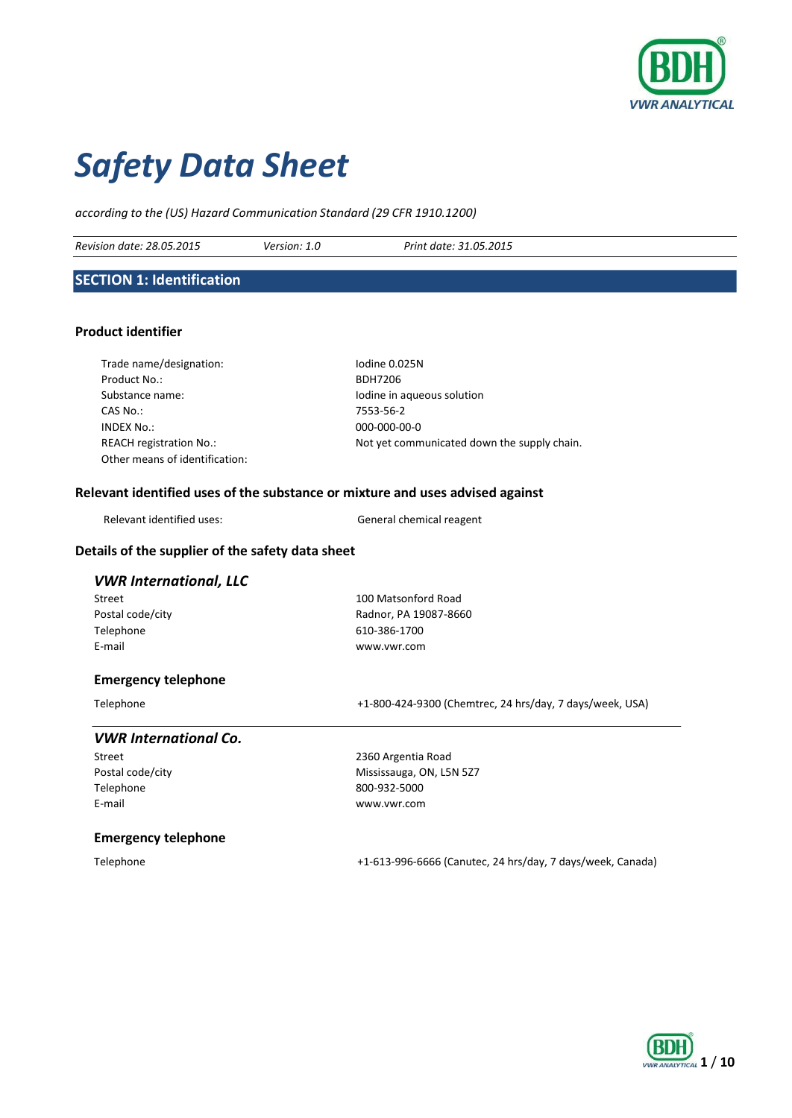

# *Safety Data Sheet*

*according to the (US) Hazard Communication Standard (29 CFR 1910.1200)*

*Revision date: 28.05.2015 Version: 1.0 Print date: 31.05.2015*

# **SECTION 1: Identification**

# **Product identifier**

| Trade name/designation:        | Iodine 0.025N                               |
|--------------------------------|---------------------------------------------|
| Product No.:                   | <b>BDH7206</b>                              |
| Substance name:                | Iodine in aqueous solution                  |
| CAS No.:                       | 7553-56-2                                   |
| INDEX No.:                     | $000-000-00-0$                              |
| <b>REACH registration No.:</b> | Not yet communicated down the supply chain. |
| Other means of identification: |                                             |

# **Relevant identified uses of the substance or mixture and uses advised against**

| Relevant identified uses: | General ch |
|---------------------------|------------|
|                           |            |

hemical reagent

# **Details of the supplier of the safety data sheet**

# *VWR International, LLC*

Telephone 610-386-1700 E-mail [www.vwr.com](http://www.vwr.com/)

Street 100 Matsonford Road Postal code/city **Postal code/city** Radnor, PA 19087-8660

# **Emergency telephone**

Telephone +1-800-424-9300 (Chemtrec, 24 hrs/day, 7 days/week, USA)

# *VWR International Co.*

Telephone 800-932-5000 E-mail [www.vwr.com](http://www.vwr.com/)

Street 2360 Argentia Road Postal code/city Mississauga, ON, L5N 527

#### **Emergency telephone**

Telephone +1-613-996-6666 (Canutec, 24 hrs/day, 7 days/week, Canada)

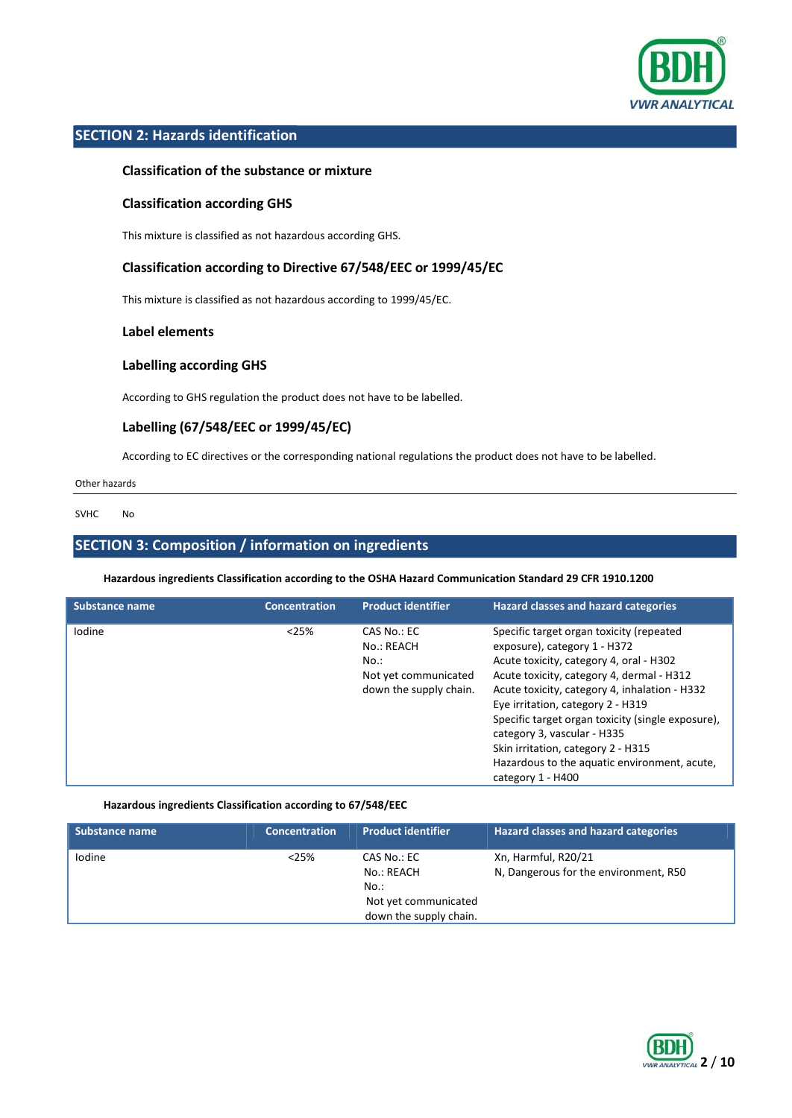

# **SECTION 2: Hazards identification**

# **Classification of the substance or mixture**

# **Classification according GHS**

This mixture is classified as not hazardous according GHS.

# **Classification according to Directive 67/548/EEC or 1999/45/EC**

This mixture is classified as not hazardous according to 1999/45/EC.

#### **Label elements**

# **Labelling according GHS**

According to GHS regulation the product does not have to be labelled.

# **Labelling (67/548/EEC or 1999/45/EC)**

According to EC directives or the corresponding national regulations the product does not have to be labelled.

Other hazards

SVHC No

# **SECTION 3: Composition / information on ingredients**

**Hazardous ingredients Classification according to the OSHA Hazard Communication Standard 29 CFR 1910.1200**

| <b>Substance name</b> | <b>Concentration</b> | <b>Product identifier</b>                                                           | <b>Hazard classes and hazard categories</b>                                                                                                                                                                                                                                                                                                                                                                                                           |
|-----------------------|----------------------|-------------------------------------------------------------------------------------|-------------------------------------------------------------------------------------------------------------------------------------------------------------------------------------------------------------------------------------------------------------------------------------------------------------------------------------------------------------------------------------------------------------------------------------------------------|
| Iodine                | < 25%                | CAS No.: EC<br>No.: REACH<br>No.:<br>Not yet communicated<br>down the supply chain. | Specific target organ toxicity (repeated<br>exposure), category 1 - H372<br>Acute toxicity, category 4, oral - H302<br>Acute toxicity, category 4, dermal - H312<br>Acute toxicity, category 4, inhalation - H332<br>Eye irritation, category 2 - H319<br>Specific target organ toxicity (single exposure),<br>category 3, vascular - H335<br>Skin irritation, category 2 - H315<br>Hazardous to the aquatic environment, acute,<br>category 1 - H400 |

# **Hazardous ingredients Classification according to 67/548/EEC**

| <b>Substance name</b> | <b>Concentration</b> | <b>Product identifier</b>                      | <b>Hazard classes and hazard categories</b>                  |
|-----------------------|----------------------|------------------------------------------------|--------------------------------------------------------------|
| <b>lodine</b>         | < 25%                | CAS No.: EC<br>No.: REACH                      | Xn, Harmful, R20/21<br>N, Dangerous for the environment, R50 |
|                       |                      | No.:                                           |                                                              |
|                       |                      | Not yet communicated<br>down the supply chain. |                                                              |

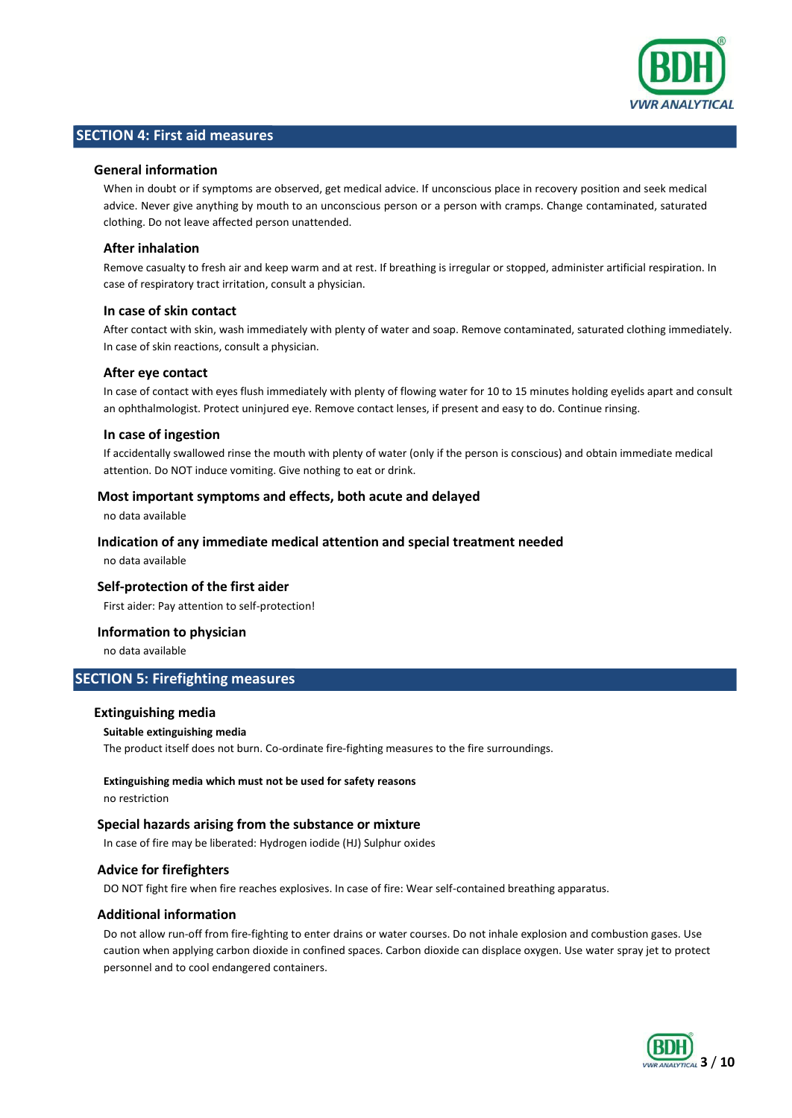

# **SECTION 4: First aid measures**

### **General information**

When in doubt or if symptoms are observed, get medical advice. If unconscious place in recovery position and seek medical advice. Never give anything by mouth to an unconscious person or a person with cramps. Change contaminated, saturated clothing. Do not leave affected person unattended.

# **After inhalation**

Remove casualty to fresh air and keep warm and at rest. If breathing is irregular or stopped, administer artificial respiration. In case of respiratory tract irritation, consult a physician.

# **In case of skin contact**

After contact with skin, wash immediately with plenty of water and soap. Remove contaminated, saturated clothing immediately. In case of skin reactions, consult a physician.

#### **After eye contact**

In case of contact with eyes flush immediately with plenty of flowing water for 10 to 15 minutes holding eyelids apart and consult an ophthalmologist. Protect uninjured eye. Remove contact lenses, if present and easy to do. Continue rinsing.

#### **In case of ingestion**

If accidentally swallowed rinse the mouth with plenty of water (only if the person is conscious) and obtain immediate medical attention. Do NOT induce vomiting. Give nothing to eat or drink.

#### **Most important symptoms and effects, both acute and delayed**

no data available

# **Indication of any immediate medical attention and special treatment needed**

no data available

### **Self-protection of the first aider**

First aider: Pay attention to self-protection!

# **Information to physician**

no data available

# **SECTION 5: Firefighting measures**

#### **Extinguishing media**

#### **Suitable extinguishing media**

The product itself does not burn. Co-ordinate fire-fighting measures to the fire surroundings.

# **Extinguishing media which must not be used for safety reasons**

no restriction

# **Special hazards arising from the substance or mixture**

In case of fire may be liberated: Hydrogen iodide (HJ) Sulphur oxides

# **Advice for firefighters**

DO NOT fight fire when fire reaches explosives. In case of fire: Wear self-contained breathing apparatus.

#### **Additional information**

Do not allow run-off from fire-fighting to enter drains or water courses. Do not inhale explosion and combustion gases. Use caution when applying carbon dioxide in confined spaces. Carbon dioxide can displace oxygen. Use water spray jet to protect personnel and to cool endangered containers.

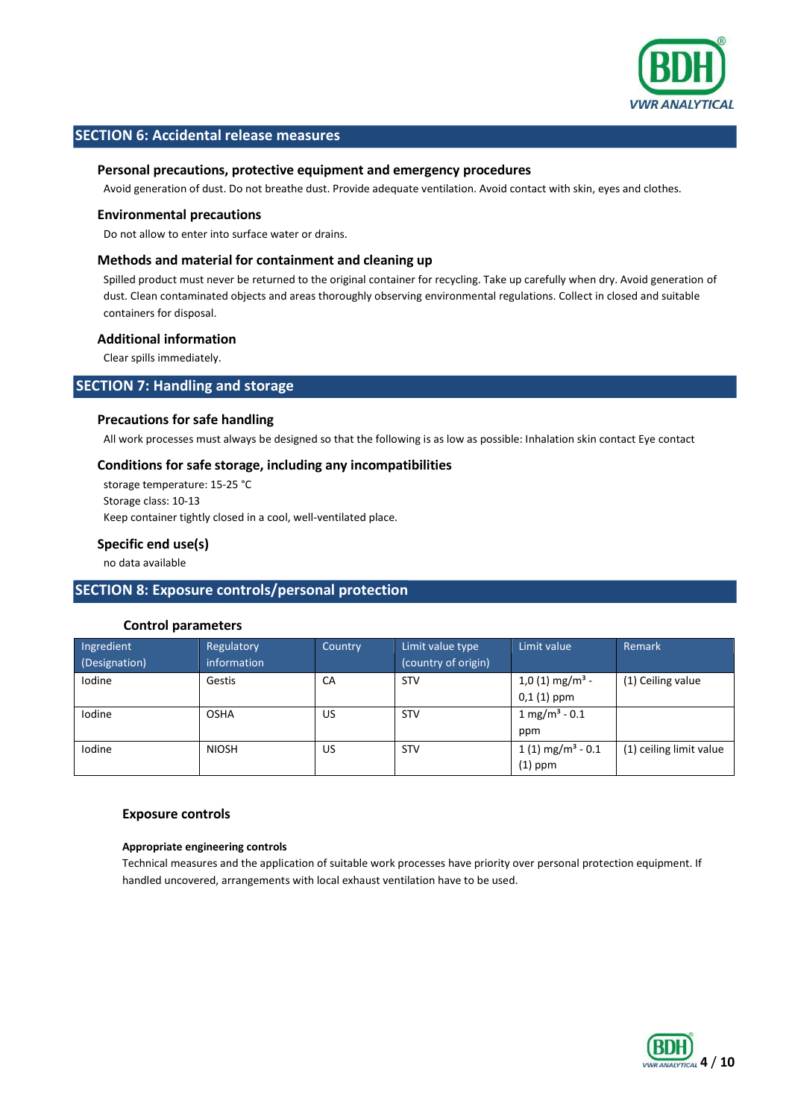

# **SECTION 6: Accidental release measures**

### **Personal precautions, protective equipment and emergency procedures**

Avoid generation of dust. Do not breathe dust. Provide adequate ventilation. Avoid contact with skin, eyes and clothes.

#### **Environmental precautions**

Do not allow to enter into surface water or drains.

# **Methods and material for containment and cleaning up**

Spilled product must never be returned to the original container for recycling. Take up carefully when dry. Avoid generation of dust. Clean contaminated objects and areas thoroughly observing environmental regulations. Collect in closed and suitable containers for disposal.

# **Additional information**

Clear spills immediately.

# **SECTION 7: Handling and storage**

#### **Precautions for safe handling**

All work processes must always be designed so that the following is as low as possible: Inhalation skin contact Eye contact

# **Conditions for safe storage, including any incompatibilities**

storage temperature: 15-25 °C Storage class: 10-13 Keep container tightly closed in a cool, well-ventilated place.

# **Specific end use(s)**

no data available

# **SECTION 8: Exposure controls/personal protection**

# **Control parameters**

| Ingredient<br>(Designation) | Regulatory<br>information | Country | Limit value type<br>(country of origin) | Limit value                    | Remark                  |
|-----------------------------|---------------------------|---------|-----------------------------------------|--------------------------------|-------------------------|
| Iodine                      | Gestis                    | CA      | <b>STV</b>                              | $1,0(1)$ mg/m <sup>3</sup> -   | (1) Ceiling value       |
|                             |                           |         |                                         | $0,1(1)$ ppm                   |                         |
| Iodine                      | <b>OSHA</b>               | US      | <b>STV</b>                              | $1 \text{ mg/m}^3 - 0.1$       |                         |
|                             |                           |         |                                         | ppm                            |                         |
| Iodine                      | <b>NIOSH</b>              | US      | <b>STV</b>                              | $1(1)$ mg/m <sup>3</sup> - 0.1 | (1) ceiling limit value |
|                             |                           |         |                                         | $(1)$ ppm                      |                         |

#### **Exposure controls**

#### **Appropriate engineering controls**

Technical measures and the application of suitable work processes have priority over personal protection equipment. If handled uncovered, arrangements with local exhaust ventilation have to be used.

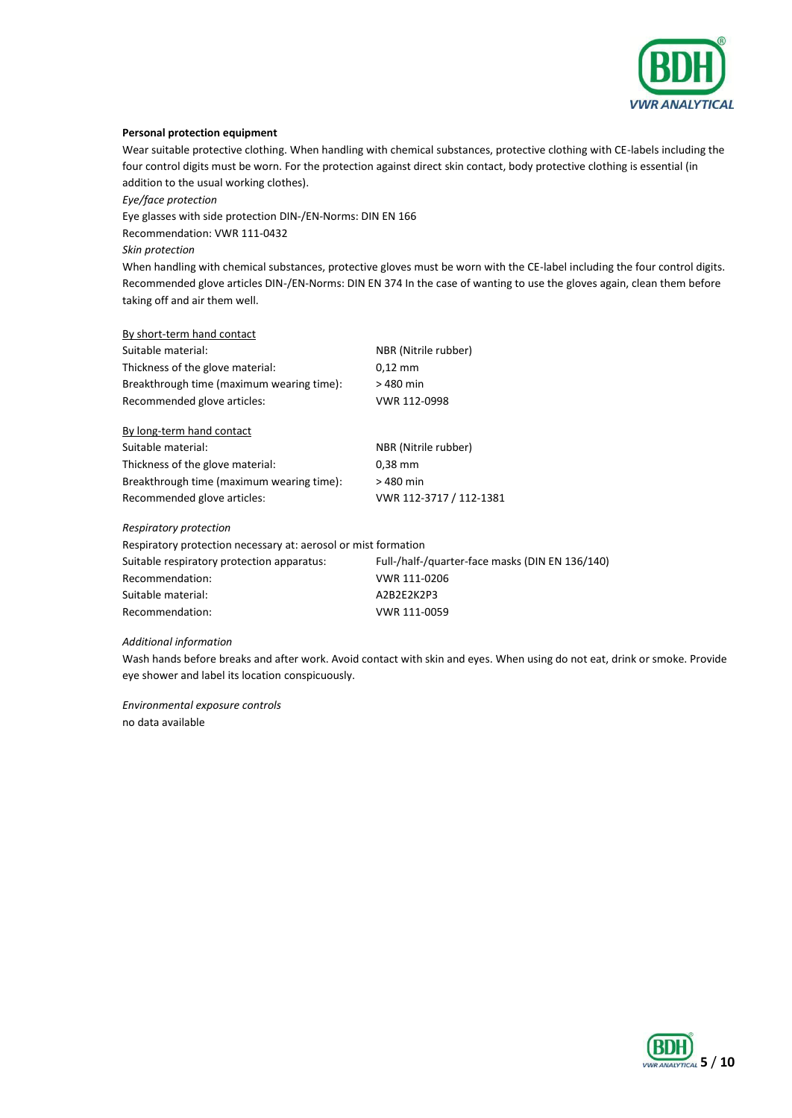

#### **Personal protection equipment**

Wear suitable protective clothing. When handling with chemical substances, protective clothing with CE-labels including the four control digits must be worn. For the protection against direct skin contact, body protective clothing is essential (in addition to the usual working clothes).

*Eye/face protection*

Eye glasses with side protection DIN-/EN-Norms: DIN EN 166

Recommendation: VWR 111-0432

*Skin protection*

When handling with chemical substances, protective gloves must be worn with the CE-label including the four control digits. Recommended glove articles DIN-/EN-Norms: DIN EN 374 In the case of wanting to use the gloves again, clean them before taking off and air them well.

By short-term hand contact

| NBR (Nitrile rubber) |
|----------------------|
| $0.12$ mm            |
| > 480 min            |
| VWR 112-0998         |
|                      |

| VWR 112-3717 / 112-1381 |
|-------------------------|
|                         |

#### *Respiratory protection*

Respiratory protection necessary at: aerosol or mist formation Suitable respiratory protection apparatus: Full-/half-/quarter-face masks (DIN EN 136/140) Recommendation: VWR 111-0206 Suitable material: A2B2E2K2P3 Recommendation: VWR 111-0059

#### *Additional information*

Wash hands before breaks and after work. Avoid contact with skin and eyes. When using do not eat, drink or smoke. Provide eye shower and label its location conspicuously.

*Environmental exposure controls* no data available

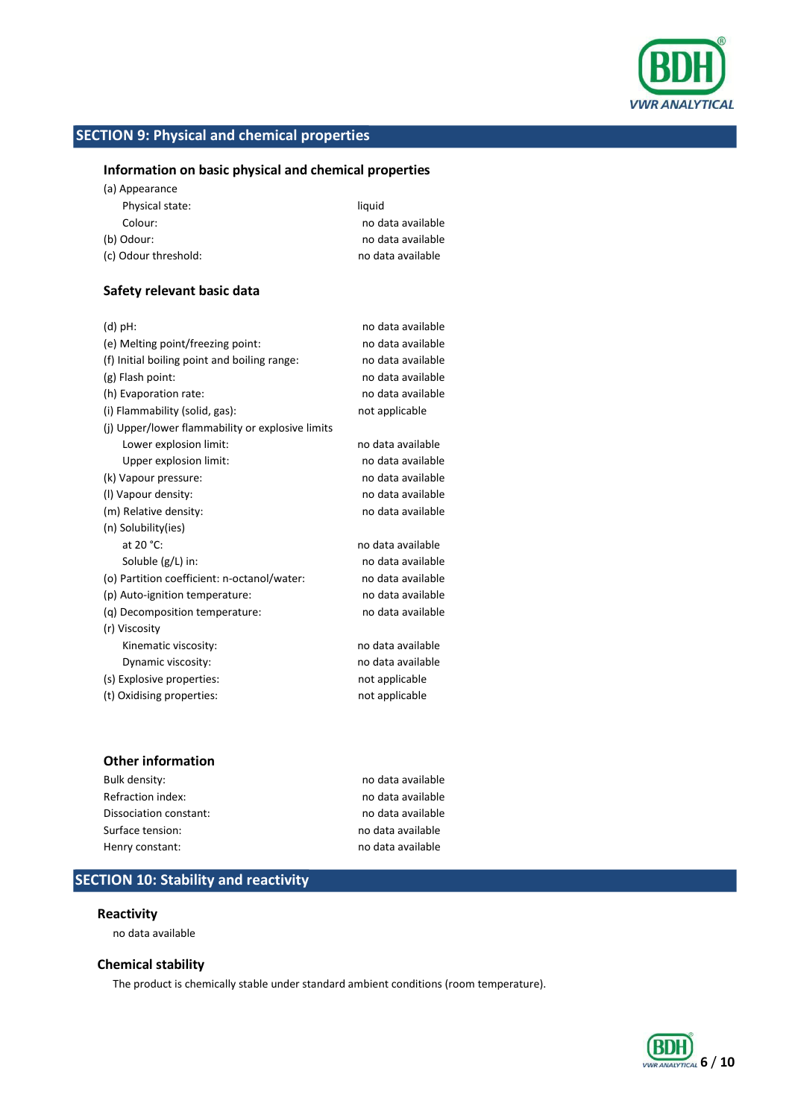

# **SECTION 9: Physical and chemical properties**

# **Information on basic physical and chemical properties**

(a) Appearance

| Physical state:      | liquid            |
|----------------------|-------------------|
| Colour:              | no data available |
| (b) Odour:           | no data available |
| (c) Odour threshold: | no data available |

# **Safety relevant basic data**

| $(d)$ pH:                                        | no data available |
|--------------------------------------------------|-------------------|
| (e) Melting point/freezing point:                | no data available |
| (f) Initial boiling point and boiling range:     | no data available |
| (g) Flash point:                                 | no data available |
| (h) Evaporation rate:                            | no data available |
| (i) Flammability (solid, gas):                   | not applicable    |
| (i) Upper/lower flammability or explosive limits |                   |
| Lower explosion limit:                           | no data available |
| Upper explosion limit:                           | no data available |
| (k) Vapour pressure:                             | no data available |
| (I) Vapour density:                              | no data available |
| (m) Relative density:                            | no data available |
| (n) Solubility(ies)                              |                   |
| at 20 °C:                                        | no data available |
| Soluble (g/L) in:                                | no data available |
| (o) Partition coefficient: n-octanol/water:      | no data available |
| (p) Auto-ignition temperature:                   | no data available |
| (g) Decomposition temperature:                   | no data available |
| (r) Viscosity                                    |                   |
| Kinematic viscosity:                             | no data available |
| Dynamic viscosity:                               | no data available |
| (s) Explosive properties:                        | not applicable    |
| (t) Oxidising properties:                        | not applicable    |
|                                                  |                   |

# **Other information**

| Bulk density:          | no data available |
|------------------------|-------------------|
| Refraction index:      | no data available |
| Dissociation constant: | no data available |
| Surface tension:       | no data available |
| Henry constant:        | no data available |
|                        |                   |

# **SECTION 10: Stability and reactivity**

# **Reactivity**

no data available

# **Chemical stability**

The product is chemically stable under standard ambient conditions (room temperature).

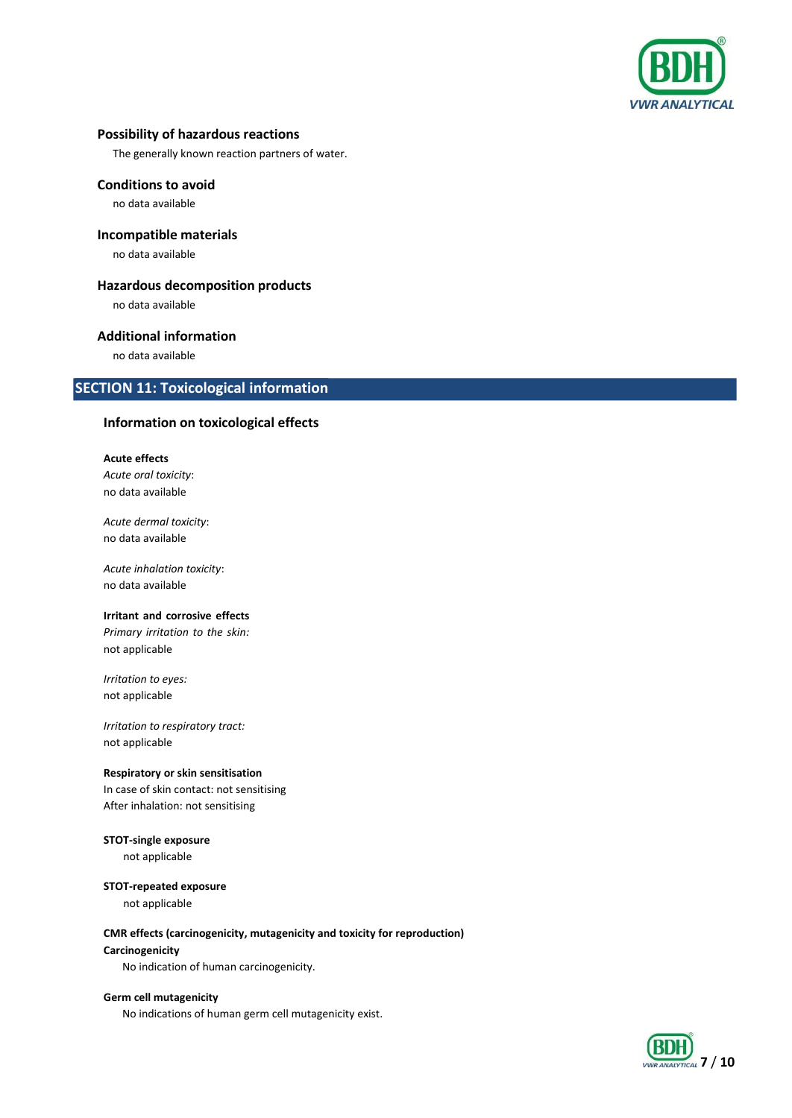

# **Possibility of hazardous reactions**

The generally known reaction partners of water.

# **Conditions to avoid**

no data available

# **Incompatible materials**

no data available

# **Hazardous decomposition products**

no data available

# **Additional information**

no data available

# **SECTION 11: Toxicological information**

# **Information on toxicological effects**

**Acute effects** *Acute oral toxicity*: no data available

*Acute dermal toxicity*: no data available

*Acute inhalation toxicity*: no data available

## **Irritant and corrosive effects**

*Primary irritation to the skin:*  not applicable

*Irritation to eyes:* not applicable

*Irritation to respiratory tract:* not applicable

# **Respiratory or skin sensitisation**

In case of skin contact: not sensitising After inhalation: not sensitising

# **STOT-single exposure**

not applicable

#### **STOT-repeated exposure**

not applicable

#### **CMR effects (carcinogenicity, mutagenicity and toxicity for reproduction)**

#### **Carcinogenicity**

No indication of human carcinogenicity.

#### **Germ cell mutagenicity**

No indications of human germ cell mutagenicity exist.

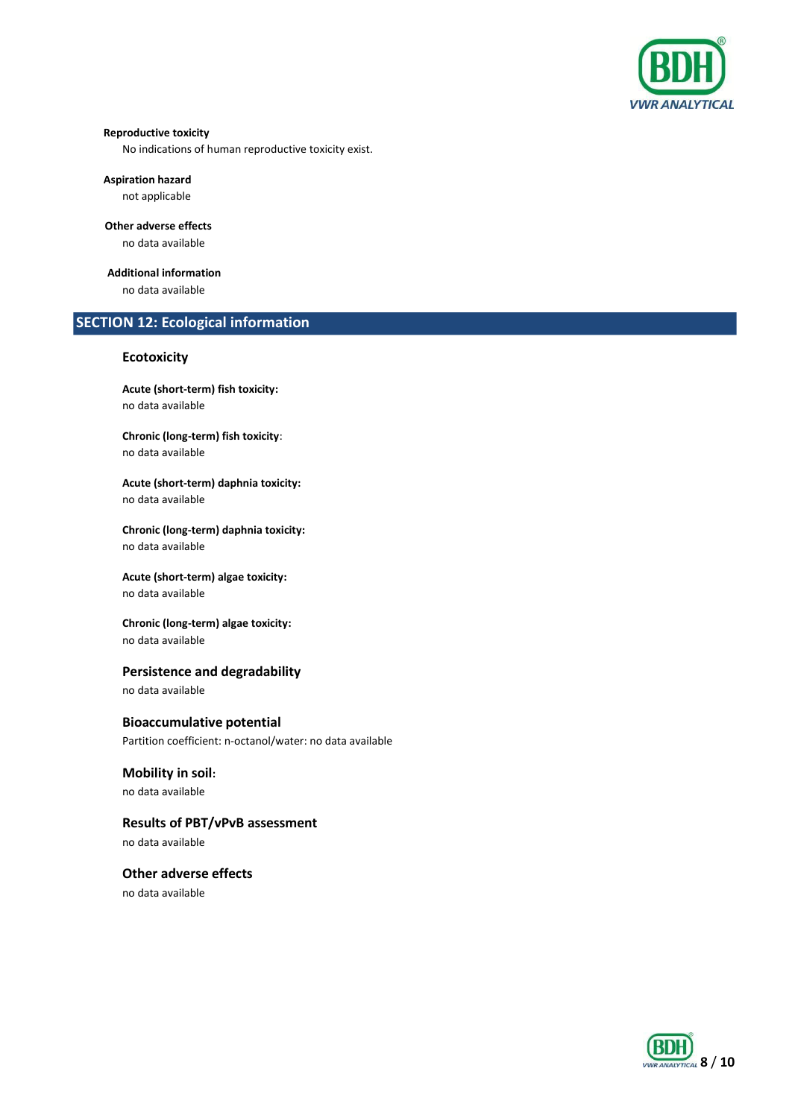

#### **Reproductive toxicity**

No indications of human reproductive toxicity exist.

#### **Aspiration hazard**

not applicable

# **Other adverse effects**

no data available

# **Additional information**

no data available

# **SECTION 12: Ecological information**

# **Ecotoxicity**

**Acute (short-term) fish toxicity:** no data available

**Chronic (long-term) fish toxicity**: no data available

**Acute (short-term) daphnia toxicity:** no data available

**Chronic (long-term) daphnia toxicity:** no data available

#### **Acute (short-term) algae toxicity:** no data available

**Chronic (long-term) algae toxicity:** no data available

# **Persistence and degradability**

no data available

# **Bioaccumulative potential**

Partition coefficient: n-octanol/water: no data available

# **Mobility in soil:**

no data available

# **Results of PBT/vPvB assessment**

no data available

# **Other adverse effects** no data available

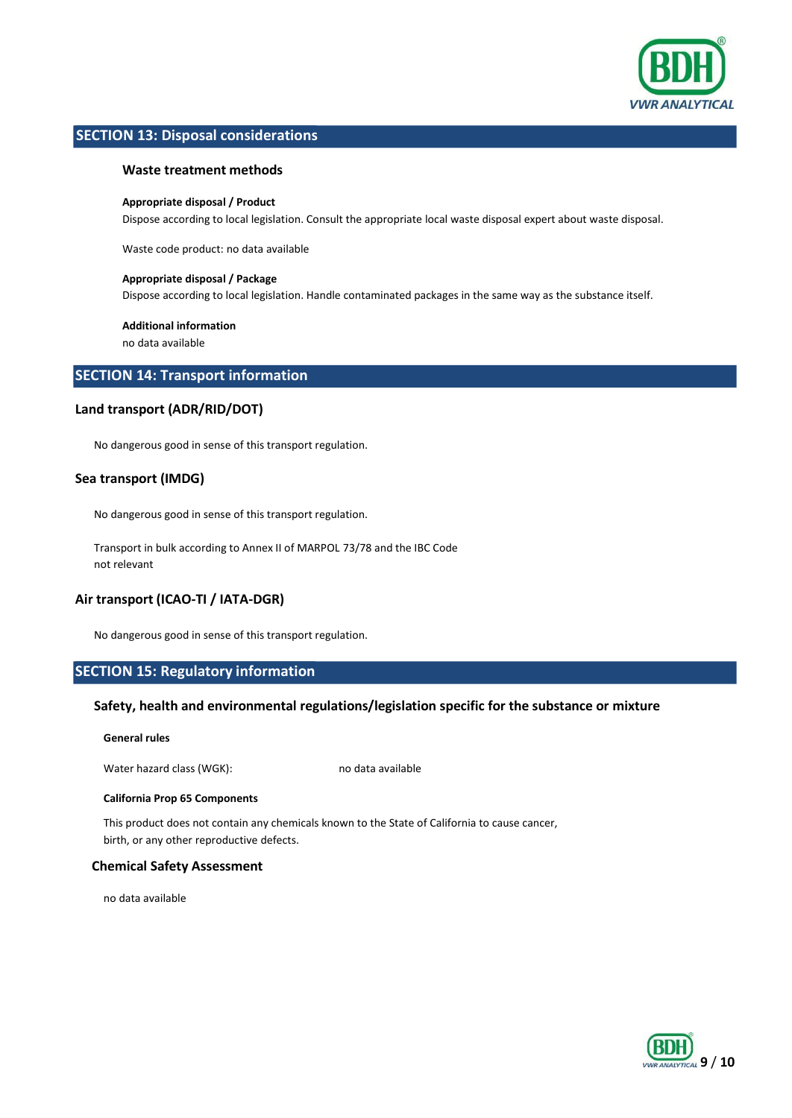

# **SECTION 13: Disposal considerations**

# **Waste treatment methods**

#### **Appropriate disposal / Product**

Dispose according to local legislation. Consult the appropriate local waste disposal expert about waste disposal.

Waste code product: no data available

#### **Appropriate disposal / Package**

Dispose according to local legislation. Handle contaminated packages in the same way as the substance itself.

#### **Additional information**

no data available

# **SECTION 14: Transport information**

# **Land transport (ADR/RID/DOT)**

No dangerous good in sense of this transport regulation.

# **Sea transport (IMDG)**

No dangerous good in sense of this transport regulation.

Transport in bulk according to Annex II of MARPOL 73/78 and the IBC Code not relevant

# **Air transport (ICAO-TI / IATA-DGR)**

No dangerous good in sense of this transport regulation.

# **SECTION 15: Regulatory information**

# **Safety, health and environmental regulations/legislation specific for the substance or mixture**

**General rules**

Water hazard class (WGK): no data available

#### **California Prop 65 Components**

This product does not contain any chemicals known to the State of California to cause cancer, birth, or any other reproductive defects.

# **Chemical Safety Assessment**

no data available